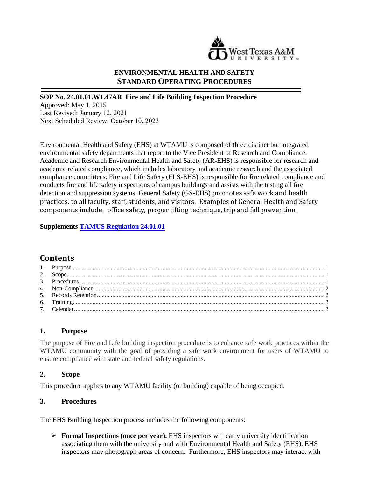

#### **ENVIRONMENTAL HEALTH AND SAFETY STANDARD OPERATING PROCEDURES**

#### **SOP No. 24.01.01.W1.47AR Fire and Life Building Inspection Procedure**

Approved: May 1, 2015 Last Revised: January 12, 2021 Next Scheduled Review: October 10, 2023

Environmental Health and Safety (EHS) at WTAMU is composed of three distinct but integrated environmental safety departments that report to the Vice President of Research and Compliance. Academic and Research Environmental Health and Safety (AR-EHS) is responsible for research and academic related compliance, which includes laboratory and academic research and the associated compliance committees. Fire and Life Safety (FLS-EHS) is responsible for fire related compliance and conducts fire and life safety inspections of campus buildings and assists with the testing all fire detection and suppression systems. General Safety (GS-EHS) promotes safe work and health practices, to all faculty, staff, students, and visitors. Examples of General Health and Safety components include: office safety, proper lifting technique, trip and fall prevention.

#### **Supplements [TAMUS Regulation 24.01.01](http://policies.tamus.edu/24-01-01.pdf)**

# **Contents**

#### <span id="page-0-0"></span>**1. Purpose**

The purpose of Fire and Life building inspection procedure is to enhance safe work practices within the WTAMU community with the goal of providing a safe work environment for users of WTAMU to ensure compliance with state and federal safety regulations.

#### <span id="page-0-1"></span>**2. Scope**

This procedure applies to any WTAMU facility (or building) capable of being occupied.

#### <span id="page-0-2"></span>**3. Procedures**

The EHS Building Inspection process includes the following components:

 **Formal Inspections (once per year).** EHS inspectors will carry university identification associating them with the university and with Environmental Health and Safety (EHS). EHS inspectors may photograph areas of concern. Furthermore, EHS inspectors may interact with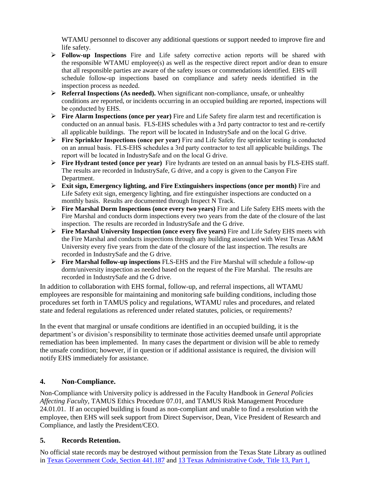WTAMU personnel to discover any additional questions or support needed to improve fire and life safety.

- **Follow-up Inspections** Fire and Life safety corrective action reports will be shared with the responsible WTAMU employee(s) as well as the respective direct report and/or dean to ensure that all responsible parties are aware of the safety issues or commendations identified. EHS will schedule follow-up inspections based on compliance and safety needs identified in the inspection process as needed.
- **Referral Inspections (As needed).** When significant non-compliance, unsafe, or unhealthy conditions are reported, or incidents occurring in an occupied building are reported, inspections will be conducted by EHS.
- **Fire Alarm Inspections (once per year)** Fire and Life Safety fire alarm test and recertification is conducted on an annual basis. FLS-EHS schedules with a 3rd party contractor to test and re-certify all applicable buildings. The report will be located in IndustrySafe and on the local G drive.
- **Fire Sprinkler Inspections (once per year)** Fire and Life Safety fire sprinkler testing is conducted on an annual basis. FLS-EHS schedules a 3rd party contractor to test all applicable buildings. The report will be located in IndustrySafe and on the local G drive.
- **Fire Hydrant tested (once per year)** Fire hydrants are tested on an annual basis by FLS-EHS staff. The results are recorded in IndustrySafe, G drive, and a copy is given to the Canyon Fire Department.
- **Exit sign, Emergency lighting, and Fire Extinguishers inspections (once per month)** Fire and Life Safety exit sign, emergency lighting, and fire extinguisher inspections are conducted on a monthly basis. Results are documented through Inspect N Track.
- **Fire Marshal Dorm Inspections (once every two years)** Fire and Life Safety EHS meets with the Fire Marshal and conducts dorm inspections every two years from the date of the closure of the last inspection. The results are recorded in IndustrySafe and the G drive.
- **Fire Marshal University Inspection (once every five years)** Fire and Life Safety EHS meets with the Fire Marshal and conducts inspections through any building associated with West Texas A&M University every five years from the date of the closure of the last inspection. The results are recorded in IndustrySafe and the G drive.
- **Fire Marshal follow-up inspections** FLS-EHS and the Fire Marshal will schedule a follow-up dorm/university inspection as needed based on the request of the Fire Marshal. The results are recorded in IndustrySafe and the G drive.

In addition to collaboration with EHS formal, follow-up, and referral inspections, all WTAMU employees are responsible for maintaining and monitoring safe building conditions, including those procedures set forth in TAMUS policy and regulations, WTAMU rules and procedures, and related state and federal regulations as referenced under related statutes, policies, or requirements?

In the event that marginal or unsafe conditions are identified in an occupied building, it is the department's or division's responsibility to terminate those activities deemed unsafe until appropriate remediation has been implemented. In many cases the department or division will be able to remedy the unsafe condition; however, if in question or if additional assistance is required, the division will notify EHS immediately for assistance.

#### <span id="page-1-0"></span>**4. Non-Compliance.**

Non-Compliance with University policy is addressed in the Faculty Handbook in *General Policies Affecting Faculty,* TAMUS Ethics Procedure 07.01, and TAMUS Risk Management Procedure 24.01.01. If an occupied building is found as non-compliant and unable to find a resolution with the employee, then EHS will seek support from Direct Supervisor, Dean, Vice President of Research and Compliance, and lastly the President/CEO.

# <span id="page-1-1"></span>**5. Records Retention.**

No official state records may be destroyed without permission from the Texas State Library as outlined in [Texas Government Code, Section 441.187](http://www.statutes.legis.state.tx.us/?link=GV) and [13 Texas Administrative Code, Title 13, Part 1,](http://info.sos.state.tx.us/pls/pub/readtac$ext.TacPage?sl=R&app=9&p_dir=&p_rloc=&p_tloc=&p_ploc=&pg=1&p_tac=&ti=13&pt=1&ch=6&rl=7U)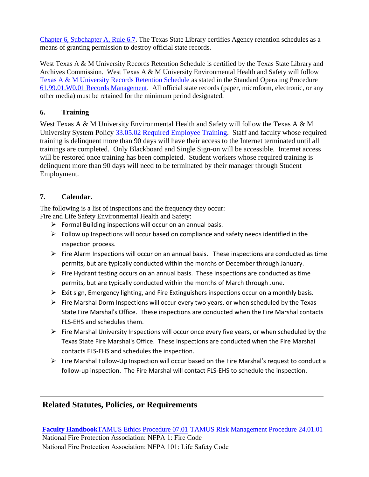[Chapter 6, Subchapter A, Rule 6.7.](http://info.sos.state.tx.us/pls/pub/readtac$ext.TacPage?sl=R&app=9&p_dir=&p_rloc=&p_tloc=&p_ploc=&pg=1&p_tac=&ti=13&pt=1&ch=6&rl=7U) The Texas State Library certifies Agency retention schedules as a means of granting permission to destroy official state records.

West Texas A & M University Records Retention Schedule is certified by the Texas State Library and Archives Commission. West Texas A & M University Environmental Health and Safety will follow [Texas A & M University Records Retention Schedule](http://www.wtamu.edu/webres/File/Risk%20Management/System-Records-Retention-Schedule-Dec2012.pdf) as stated in the Standard Operating Procedure [61.99.01.W0.01 Records Management.](http://www.wtamu.edu/webres/File/Risk%20Management/61.99.01.W0.01_PROCEDURE_Records%20Management_FINAL%20SIGNED.pdf) All official state records (paper, microform, electronic, or any other media) must be retained for the minimum period designated.

# <span id="page-2-0"></span>**6. Training**

West Texas A & M University Environmental Health and Safety will follow the Texas A & M University System Policy [33.05.02 Required Employee Training.](http://policies.tamus.edu/33-05-02.pdf) Staff and faculty whose required training is delinquent more than 90 days will have their access to the Internet terminated until all trainings are completed. Only Blackboard and Single Sign-on will be accessible. Internet access will be restored once training has been completed. Student workers whose required training is delinquent more than 90 days will need to be terminated by their manager through Student Employment.

### <span id="page-2-1"></span>**7. Calendar.**

The following is a list of inspections and the frequency they occur:

Fire and Life Safety Environmental Health and Safety:

- $\triangleright$  Formal Building inspections will occur on an annual basis.
- $\triangleright$  Follow up Inspections will occur based on compliance and safety needs identified in the inspection process.
- $\triangleright$  Fire Alarm Inspections will occur on an annual basis. These inspections are conducted as time permits, but are typically conducted within the months of December through January.
- $\triangleright$  Fire Hydrant testing occurs on an annual basis. These inspections are conducted as time permits, but are typically conducted within the months of March through June.
- $\triangleright$  Exit sign, Emergency lighting, and Fire Extinguishers inspections occur on a monthly basis.
- $\triangleright$  Fire Marshal Dorm Inspections will occur every two years, or when scheduled by the Texas State Fire Marshal's Office. These inspections are conducted when the Fire Marshal contacts FLS-EHS and schedules them.
- $\triangleright$  Fire Marshal University Inspections will occur once every five years, or when scheduled by the Texas State Fire Marshal's Office. These inspections are conducted when the Fire Marshal contacts FLS-EHS and schedules the inspection.
- $\triangleright$  Fire Marshal Follow-Up Inspection will occur based on the Fire Marshal's request to conduct a follow-up inspection. The Fire Marshal will contact FLS-EHS to schedule the inspection.

# **Related Statutes, Policies, or Requirements**

**[Faculty Handbook](http://www.wtamu.edu/webres/File/About/Faculty-Handbook-2015.pdf)**[TAMUS Ethics Procedure 07.01](http://www.wtamu.edu/webres/File/About/Faculty-Handbook-2015.pdf) TAMUS Risk Management Procedure 24.01.01 [National Fire Protection Association: NFPA 1: F](http://policies.tamus.edu/24-01-01.pdf)ire Code National Fire Protection Association: NFPA 101: Life Safety Code